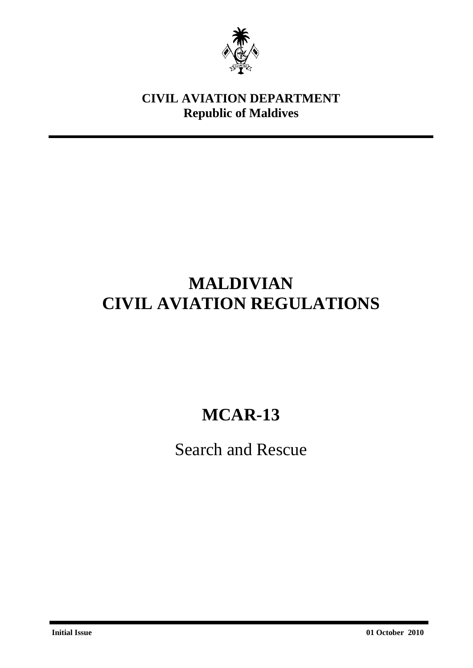

### **CIVIL AVIATION DEPARTMENT Republic of Maldives**

## **MALDIVIAN CIVIL AVIATION REGULATIONS**

# **MCAR-13**

Search and Rescue

**Initial Issue 01 October 2010**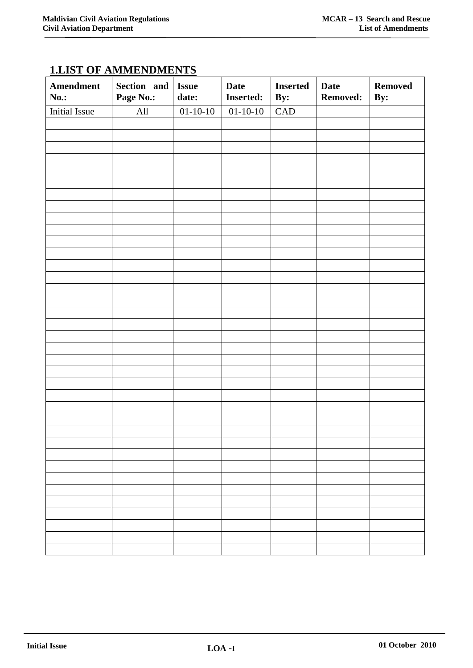| <b>Amendment</b><br><b>No.:</b> | Section and<br>Page No.: | <b>Issue</b><br>date: | <b>Date</b><br><b>Inserted:</b> | <b>Inserted</b><br>By: | <b>Date</b><br><b>Removed:</b> | <b>Removed</b><br>By: |
|---------------------------------|--------------------------|-----------------------|---------------------------------|------------------------|--------------------------------|-----------------------|
| <b>Initial Issue</b>            | All                      | $01-10-10$            | $01-10-10$                      | CAD                    |                                |                       |
|                                 |                          |                       |                                 |                        |                                |                       |
|                                 |                          |                       |                                 |                        |                                |                       |
|                                 |                          |                       |                                 |                        |                                |                       |
|                                 |                          |                       |                                 |                        |                                |                       |
|                                 |                          |                       |                                 |                        |                                |                       |
|                                 |                          |                       |                                 |                        |                                |                       |
|                                 |                          |                       |                                 |                        |                                |                       |
|                                 |                          |                       |                                 |                        |                                |                       |
|                                 |                          |                       |                                 |                        |                                |                       |
|                                 |                          |                       |                                 |                        |                                |                       |
|                                 |                          |                       |                                 |                        |                                |                       |
|                                 |                          |                       |                                 |                        |                                |                       |
|                                 |                          |                       |                                 |                        |                                |                       |
|                                 |                          |                       |                                 |                        |                                |                       |
|                                 |                          |                       |                                 |                        |                                |                       |
|                                 |                          |                       |                                 |                        |                                |                       |
|                                 |                          |                       |                                 |                        |                                |                       |
|                                 |                          |                       |                                 |                        |                                |                       |
|                                 |                          |                       |                                 |                        |                                |                       |
|                                 |                          |                       |                                 |                        |                                |                       |
|                                 |                          |                       |                                 |                        |                                |                       |
|                                 |                          |                       |                                 |                        |                                |                       |
|                                 |                          |                       |                                 |                        |                                |                       |
|                                 |                          |                       |                                 |                        |                                |                       |
|                                 |                          |                       |                                 |                        |                                |                       |
|                                 |                          |                       |                                 |                        |                                |                       |
|                                 |                          |                       |                                 |                        |                                |                       |
|                                 |                          |                       |                                 |                        |                                |                       |
|                                 |                          |                       |                                 |                        |                                |                       |
|                                 |                          |                       |                                 |                        |                                |                       |
|                                 |                          |                       |                                 |                        |                                |                       |
|                                 |                          |                       |                                 |                        |                                |                       |
|                                 |                          |                       |                                 |                        |                                |                       |
|                                 |                          |                       |                                 |                        |                                |                       |
|                                 |                          |                       |                                 |                        |                                |                       |
|                                 |                          |                       |                                 |                        |                                |                       |
|                                 |                          |                       |                                 |                        |                                |                       |

## **1.LIST OF AMMENDMENTS**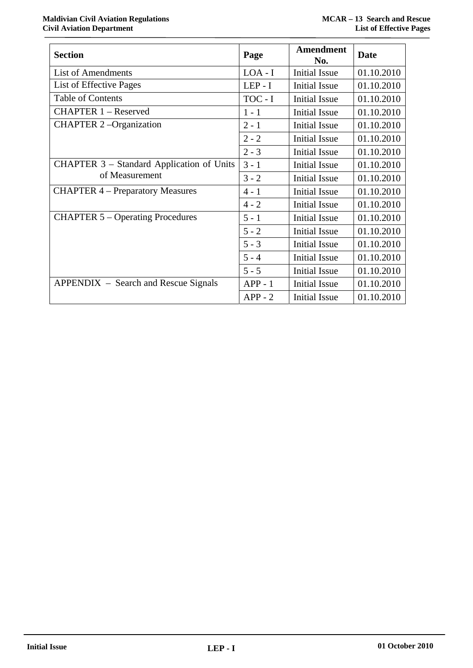|                                                  |           | Amendment            |             |
|--------------------------------------------------|-----------|----------------------|-------------|
| <b>Section</b>                                   | Page      | No.                  | <b>Date</b> |
| List of Amendments                               | $LOA - I$ | <b>Initial Issue</b> | 01.10.2010  |
| List of Effective Pages                          | $LEP - I$ | <b>Initial Issue</b> | 01.10.2010  |
| Table of Contents                                | TOC - I   | <b>Initial Issue</b> | 01.10.2010  |
| <b>CHAPTER 1 - Reserved</b>                      | $1 - 1$   | Initial Issue        | 01.10.2010  |
| <b>CHAPTER 2-Organization</b>                    | $2 - 1$   | Initial Issue        | 01.10.2010  |
|                                                  | $2 - 2$   | <b>Initial Issue</b> | 01.10.2010  |
|                                                  | $2 - 3$   | <b>Initial Issue</b> | 01.10.2010  |
| <b>CHAPTER 3 – Standard Application of Units</b> | $3 - 1$   | Initial Issue        | 01.10.2010  |
| of Measurement                                   | $3 - 2$   | <b>Initial Issue</b> | 01.10.2010  |
| <b>CHAPTER 4 – Preparatory Measures</b>          | $4 - 1$   | <b>Initial Issue</b> | 01.10.2010  |
|                                                  | $4 - 2$   | Initial Issue        | 01.10.2010  |
| <b>CHAPTER 5 – Operating Procedures</b>          | $5 - 1$   | <b>Initial Issue</b> | 01.10.2010  |
|                                                  | $5 - 2$   | <b>Initial Issue</b> | 01.10.2010  |
|                                                  | $5 - 3$   | <b>Initial Issue</b> | 01.10.2010  |
|                                                  | $5 - 4$   | <b>Initial Issue</b> | 01.10.2010  |
|                                                  | $5 - 5$   | <b>Initial Issue</b> | 01.10.2010  |
| APPENDIX – Search and Rescue Signals             | $APP - 1$ | <b>Initial Issue</b> | 01.10.2010  |
|                                                  | $APP - 2$ | Initial Issue        | 01.10.2010  |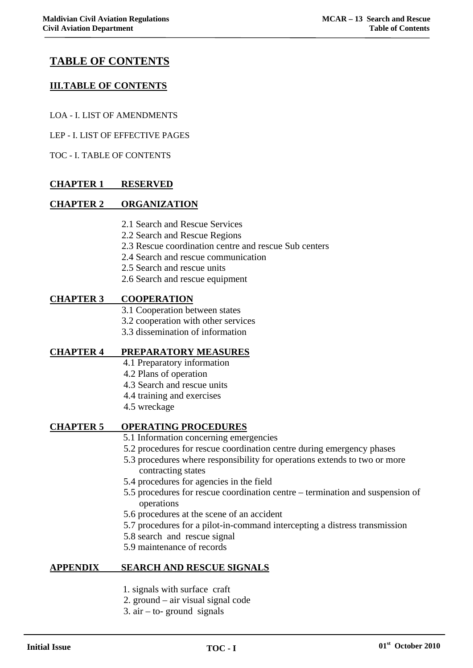1

### **TABLE OF CONTENTS**

### **III.TABLE OF CONTENTS**

- LOA I. LIST OF AMENDMENTS
- LEP I. LIST OF EFFECTIVE PAGES

TOC - I. TABLE OF CONTENTS

### **CHAPTER 1 RESERVED**

### **CHAPTER 2 ORGANIZATION**

- 2.1 Search and Rescue Services
- 2.2 Search and Rescue Regions
- 2.3 Rescue coordination centre and rescue Sub centers
- 2.4 Search and rescue communication
- 2.5 Search and rescue units
- 2.6 Search and rescue equipment

### **CHAPTER 3 COOPERATION**

- 3.1 Cooperation between states
- 3.2 cooperation with other services
- 3.3 dissemination of information

### **CHAPTER 4 PREPARATORY MEASURES**

- 4.1 Preparatory information
- 4.2 Plans of operation
- 4.3 Search and rescue units
- 4.4 training and exercises
- 4.5 wreckage

### **CHAPTER 5 OPERATING PROCEDURES**

- 5.1 Information concerning emergencies
- 5.2 procedures for rescue coordination centre during emergency phases
- 5.3 procedures where responsibility for operations extends to two or more contracting states
- 5.4 procedures for agencies in the field
- 5.5 procedures for rescue coordination centre termination and suspension of operations
- 5.6 procedures at the scene of an accident
- 5.7 procedures for a pilot-in-command intercepting a distress transmission
- 5.8 search and rescue signal
- 5.9 maintenance of records

### **APPENDIX SEARCH AND RESCUE SIGNALS**

- 1. signals with surface craft
- 2. ground air visual signal code
- 3.  $air to$  ground signals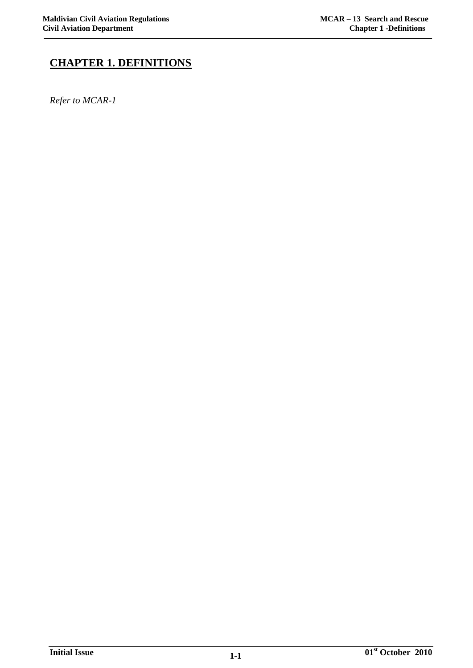### **CHAPTER 1. DEFINITIONS**

*Refer to MCAR-1*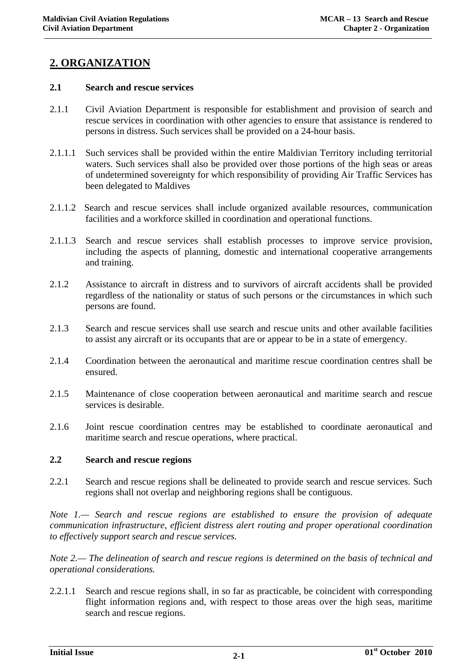### **2. ORGANIZATION**

### **2.1 Search and rescue services**

- 2.1.1 Civil Aviation Department is responsible for establishment and provision of search and rescue services in coordination with other agencies to ensure that assistance is rendered to persons in distress. Such services shall be provided on a 24-hour basis.
- 2.1.1.1 Such services shall be provided within the entire Maldivian Territory including territorial waters. Such services shall also be provided over those portions of the high seas or areas of undetermined sovereignty for which responsibility of providing Air Traffic Services has been delegated to Maldives
- 2.1.1.2 Search and rescue services shall include organized available resources, communication facilities and a workforce skilled in coordination and operational functions.
- 2.1.1.3 Search and rescue services shall establish processes to improve service provision, including the aspects of planning, domestic and international cooperative arrangements and training.
- 2.1.2 Assistance to aircraft in distress and to survivors of aircraft accidents shall be provided regardless of the nationality or status of such persons or the circumstances in which such persons are found.
- 2.1.3 Search and rescue services shall use search and rescue units and other available facilities to assist any aircraft or its occupants that are or appear to be in a state of emergency.
- 2.1.4 Coordination between the aeronautical and maritime rescue coordination centres shall be ensured.
- 2.1.5 Maintenance of close cooperation between aeronautical and maritime search and rescue services is desirable.
- 2.1.6 Joint rescue coordination centres may be established to coordinate aeronautical and maritime search and rescue operations, where practical.

### **2.2 Search and rescue regions**

2.2.1 Search and rescue regions shall be delineated to provide search and rescue services. Such regions shall not overlap and neighboring regions shall be contiguous.

*Note 1.— Search and rescue regions are established to ensure the provision of adequate communication infrastructure, efficient distress alert routing and proper operational coordination to effectively support search and rescue services.* 

*Note 2.— The delineation of search and rescue regions is determined on the basis of technical and operational considerations.* 

2.2.1.1 Search and rescue regions shall, in so far as practicable, be coincident with corresponding flight information regions and, with respect to those areas over the high seas, maritime search and rescue regions.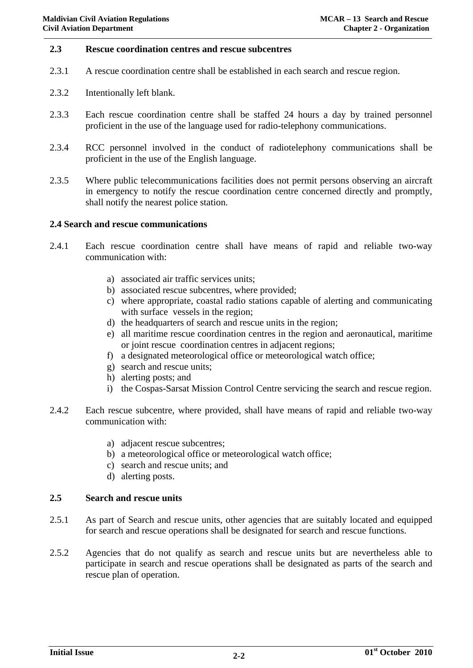#### **2.3 Rescue coordination centres and rescue subcentres**

- 2.3.1 A rescue coordination centre shall be established in each search and rescue region.
- 2.3.2 Intentionally left blank.
- 2.3.3 Each rescue coordination centre shall be staffed 24 hours a day by trained personnel proficient in the use of the language used for radio-telephony communications.
- 2.3.4 RCC personnel involved in the conduct of radiotelephony communications shall be proficient in the use of the English language.
- 2.3.5 Where public telecommunications facilities does not permit persons observing an aircraft in emergency to notify the rescue coordination centre concerned directly and promptly, shall notify the nearest police station.

#### **2.4 Search and rescue communications**

- 2.4.1 Each rescue coordination centre shall have means of rapid and reliable two-way communication with:
	- a) associated air traffic services units;
	- b) associated rescue subcentres, where provided;
	- c) where appropriate, coastal radio stations capable of alerting and communicating with surface vessels in the region;
	- d) the headquarters of search and rescue units in the region;
	- e) all maritime rescue coordination centres in the region and aeronautical, maritime or joint rescue coordination centres in adjacent regions;
	- f) a designated meteorological office or meteorological watch office;
	- g) search and rescue units;
	- h) alerting posts; and
	- i) the Cospas-Sarsat Mission Control Centre servicing the search and rescue region.
- 2.4.2 Each rescue subcentre, where provided, shall have means of rapid and reliable two-way communication with:
	- a) adjacent rescue subcentres;
	- b) a meteorological office or meteorological watch office;
	- c) search and rescue units; and
	- d) alerting posts.

### **2.5 Search and rescue units**

- 2.5.1 As part of Search and rescue units, other agencies that are suitably located and equipped for search and rescue operations shall be designated for search and rescue functions.
- 2.5.2 Agencies that do not qualify as search and rescue units but are nevertheless able to participate in search and rescue operations shall be designated as parts of the search and rescue plan of operation.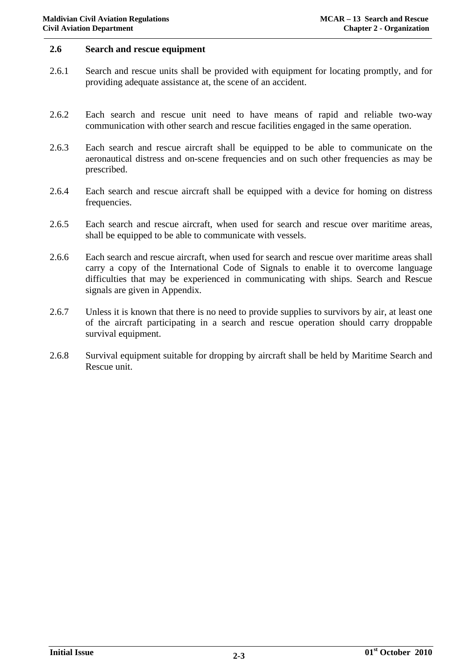### **2.6 Search and rescue equipment**

- 2.6.1 Search and rescue units shall be provided with equipment for locating promptly, and for providing adequate assistance at, the scene of an accident.
- 2.6.2 Each search and rescue unit need to have means of rapid and reliable two-way communication with other search and rescue facilities engaged in the same operation.
- 2.6.3 Each search and rescue aircraft shall be equipped to be able to communicate on the aeronautical distress and on-scene frequencies and on such other frequencies as may be prescribed.
- 2.6.4 Each search and rescue aircraft shall be equipped with a device for homing on distress frequencies.
- 2.6.5 Each search and rescue aircraft, when used for search and rescue over maritime areas, shall be equipped to be able to communicate with vessels.
- 2.6.6 Each search and rescue aircraft, when used for search and rescue over maritime areas shall carry a copy of the International Code of Signals to enable it to overcome language difficulties that may be experienced in communicating with ships. Search and Rescue signals are given in Appendix.
- 2.6.7 Unless it is known that there is no need to provide supplies to survivors by air, at least one of the aircraft participating in a search and rescue operation should carry droppable survival equipment.
- 2.6.8 Survival equipment suitable for dropping by aircraft shall be held by Maritime Search and Rescue unit.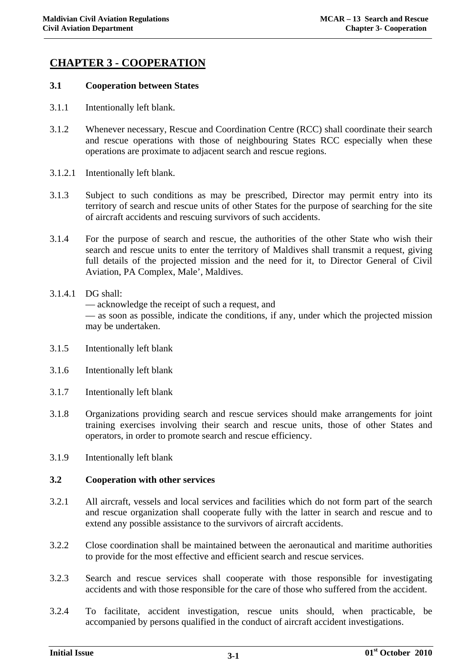### **CHAPTER 3 - COOPERATION**

### **3.1 Cooperation between States**

- 3.1.1 Intentionally left blank.
- 3.1.2 Whenever necessary, Rescue and Coordination Centre (RCC) shall coordinate their search and rescue operations with those of neighbouring States RCC especially when these operations are proximate to adjacent search and rescue regions.
- 3.1.2.1 Intentionally left blank.
- 3.1.3 Subject to such conditions as may be prescribed, Director may permit entry into its territory of search and rescue units of other States for the purpose of searching for the site of aircraft accidents and rescuing survivors of such accidents.
- 3.1.4 For the purpose of search and rescue, the authorities of the other State who wish their search and rescue units to enter the territory of Maldives shall transmit a request, giving full details of the projected mission and the need for it, to Director General of Civil Aviation, PA Complex, Male', Maldives.

### 3.1.4.1 DG shall:

— acknowledge the receipt of such a request, and

— as soon as possible, indicate the conditions, if any, under which the projected mission may be undertaken.

- 3.1.5 Intentionally left blank
- 3.1.6 Intentionally left blank
- 3.1.7 Intentionally left blank
- 3.1.8 Organizations providing search and rescue services should make arrangements for joint training exercises involving their search and rescue units, those of other States and operators, in order to promote search and rescue efficiency.
- 3.1.9 Intentionally left blank

### **3.2 Cooperation with other services**

- 3.2.1 All aircraft, vessels and local services and facilities which do not form part of the search and rescue organization shall cooperate fully with the latter in search and rescue and to extend any possible assistance to the survivors of aircraft accidents.
- 3.2.2 Close coordination shall be maintained between the aeronautical and maritime authorities to provide for the most effective and efficient search and rescue services.
- 3.2.3 Search and rescue services shall cooperate with those responsible for investigating accidents and with those responsible for the care of those who suffered from the accident.
- 3.2.4 To facilitate, accident investigation, rescue units should, when practicable, be accompanied by persons qualified in the conduct of aircraft accident investigations.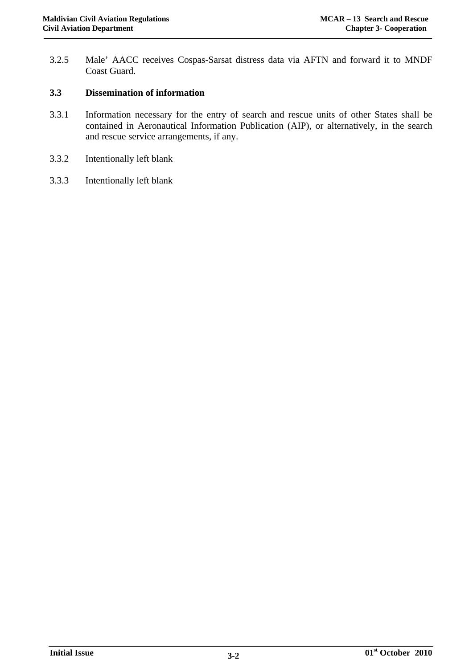3.2.5 Male' AACC receives Cospas-Sarsat distress data via AFTN and forward it to MNDF Coast Guard.

### **3.3 Dissemination of information**

- 3.3.1 Information necessary for the entry of search and rescue units of other States shall be contained in Aeronautical Information Publication (AIP), or alternatively, in the search and rescue service arrangements, if any.
- 3.3.2 Intentionally left blank
- 3.3.3 Intentionally left blank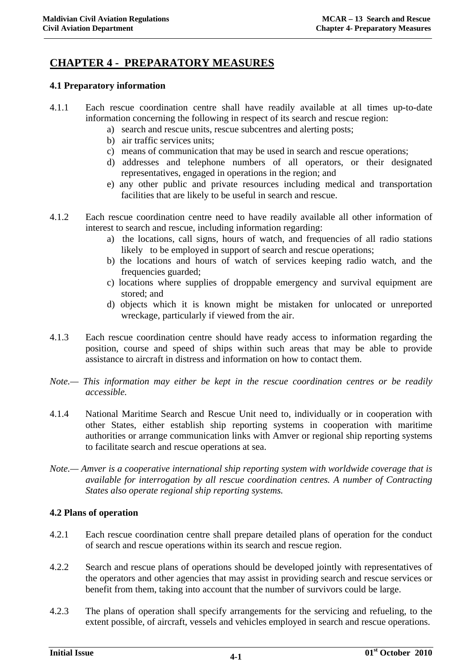### **CHAPTER 4 - PREPARATORY MEASURES**

### **4.1 Preparatory information**

- 4.1.1 Each rescue coordination centre shall have readily available at all times up-to-date information concerning the following in respect of its search and rescue region:
	- a) search and rescue units, rescue subcentres and alerting posts;
	- b) air traffic services units;
	- c) means of communication that may be used in search and rescue operations;
	- d) addresses and telephone numbers of all operators, or their designated representatives, engaged in operations in the region; and
	- e) any other public and private resources including medical and transportation facilities that are likely to be useful in search and rescue.
- 4.1.2 Each rescue coordination centre need to have readily available all other information of interest to search and rescue, including information regarding:
	- a) the locations, call signs, hours of watch, and frequencies of all radio stations likely to be employed in support of search and rescue operations;
	- b) the locations and hours of watch of services keeping radio watch, and the frequencies guarded;
	- c) locations where supplies of droppable emergency and survival equipment are stored; and
	- d) objects which it is known might be mistaken for unlocated or unreported wreckage, particularly if viewed from the air.
- 4.1.3 Each rescue coordination centre should have ready access to information regarding the position, course and speed of ships within such areas that may be able to provide assistance to aircraft in distress and information on how to contact them.
- *Note.— This information may either be kept in the rescue coordination centres or be readily accessible.*
- 4.1.4 National Maritime Search and Rescue Unit need to, individually or in cooperation with other States, either establish ship reporting systems in cooperation with maritime authorities or arrange communication links with Amver or regional ship reporting systems to facilitate search and rescue operations at sea.
- *Note.— Amver is a cooperative international ship reporting system with worldwide coverage that is available for interrogation by all rescue coordination centres. A number of Contracting States also operate regional ship reporting systems.*

### **4.2 Plans of operation**

- 4.2.1 Each rescue coordination centre shall prepare detailed plans of operation for the conduct of search and rescue operations within its search and rescue region.
- 4.2.2 Search and rescue plans of operations should be developed jointly with representatives of the operators and other agencies that may assist in providing search and rescue services or benefit from them, taking into account that the number of survivors could be large.
- 4.2.3 The plans of operation shall specify arrangements for the servicing and refueling, to the extent possible, of aircraft, vessels and vehicles employed in search and rescue operations.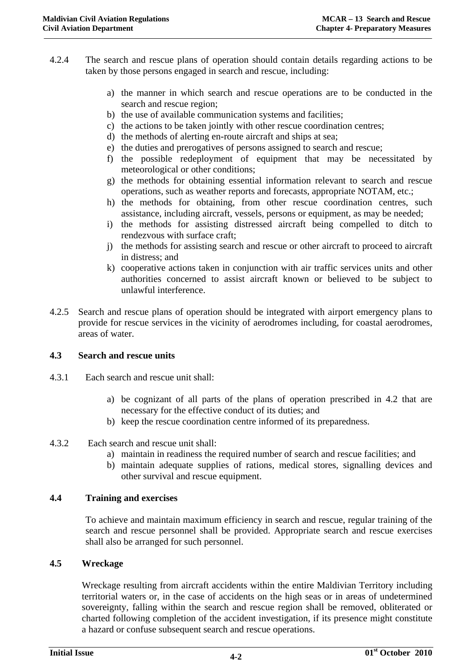- 4.2.4 The search and rescue plans of operation should contain details regarding actions to be taken by those persons engaged in search and rescue, including:
	- a) the manner in which search and rescue operations are to be conducted in the search and rescue region;
	- b) the use of available communication systems and facilities;
	- c) the actions to be taken jointly with other rescue coordination centres;
	- d) the methods of alerting en-route aircraft and ships at sea;
	- e) the duties and prerogatives of persons assigned to search and rescue;
	- f) the possible redeployment of equipment that may be necessitated by meteorological or other conditions;
	- g) the methods for obtaining essential information relevant to search and rescue operations, such as weather reports and forecasts, appropriate NOTAM, etc.;
	- h) the methods for obtaining, from other rescue coordination centres, such assistance, including aircraft, vessels, persons or equipment, as may be needed;
	- i) the methods for assisting distressed aircraft being compelled to ditch to rendezvous with surface craft;
	- j) the methods for assisting search and rescue or other aircraft to proceed to aircraft in distress; and
	- k) cooperative actions taken in conjunction with air traffic services units and other authorities concerned to assist aircraft known or believed to be subject to unlawful interference.
- 4.2.5 Search and rescue plans of operation should be integrated with airport emergency plans to provide for rescue services in the vicinity of aerodromes including, for coastal aerodromes, areas of water.

### **4.3 Search and rescue units**

- 4.3.1 Each search and rescue unit shall:
	- a) be cognizant of all parts of the plans of operation prescribed in 4.2 that are necessary for the effective conduct of its duties; and
	- b) keep the rescue coordination centre informed of its preparedness.
- 4.3.2 Each search and rescue unit shall:
	- a) maintain in readiness the required number of search and rescue facilities; and
	- b) maintain adequate supplies of rations, medical stores, signalling devices and other survival and rescue equipment.

### **4.4 Training and exercises**

To achieve and maintain maximum efficiency in search and rescue, regular training of the search and rescue personnel shall be provided. Appropriate search and rescue exercises shall also be arranged for such personnel.

### **4.5 Wreckage**

 Wreckage resulting from aircraft accidents within the entire Maldivian Territory including territorial waters or, in the case of accidents on the high seas or in areas of undetermined sovereignty, falling within the search and rescue region shall be removed, obliterated or charted following completion of the accident investigation, if its presence might constitute a hazard or confuse subsequent search and rescue operations.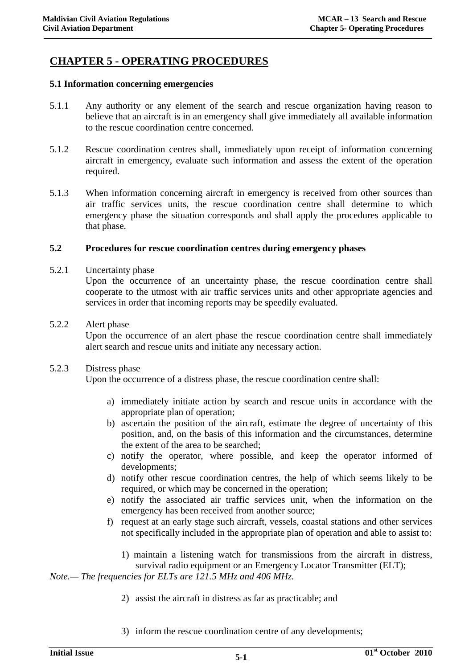### **CHAPTER 5 - OPERATING PROCEDURES**

### **5.1 Information concerning emergencies**

- 5.1.1 Any authority or any element of the search and rescue organization having reason to believe that an aircraft is in an emergency shall give immediately all available information to the rescue coordination centre concerned.
- 5.1.2 Rescue coordination centres shall, immediately upon receipt of information concerning aircraft in emergency, evaluate such information and assess the extent of the operation required.
- 5.1.3 When information concerning aircraft in emergency is received from other sources than air traffic services units, the rescue coordination centre shall determine to which emergency phase the situation corresponds and shall apply the procedures applicable to that phase.

### **5.2 Procedures for rescue coordination centres during emergency phases**

5.2.1 Uncertainty phase

Upon the occurrence of an uncertainty phase, the rescue coordination centre shall cooperate to the utmost with air traffic services units and other appropriate agencies and services in order that incoming reports may be speedily evaluated.

5.2.2 Alert phase

Upon the occurrence of an alert phase the rescue coordination centre shall immediately alert search and rescue units and initiate any necessary action.

### 5.2.3 Distress phase

Upon the occurrence of a distress phase, the rescue coordination centre shall:

- a) immediately initiate action by search and rescue units in accordance with the appropriate plan of operation;
- b) ascertain the position of the aircraft, estimate the degree of uncertainty of this position, and, on the basis of this information and the circumstances, determine the extent of the area to be searched;
- c) notify the operator, where possible, and keep the operator informed of developments;
- d) notify other rescue coordination centres, the help of which seems likely to be required, or which may be concerned in the operation;
- e) notify the associated air traffic services unit, when the information on the emergency has been received from another source;
- f) request at an early stage such aircraft, vessels, coastal stations and other services not specifically included in the appropriate plan of operation and able to assist to:
	- 1) maintain a listening watch for transmissions from the aircraft in distress, survival radio equipment or an Emergency Locator Transmitter (ELT);

*Note.— The frequencies for ELTs are 121.5 MHz and 406 MHz.* 

- 2) assist the aircraft in distress as far as practicable; and
- 3) inform the rescue coordination centre of any developments;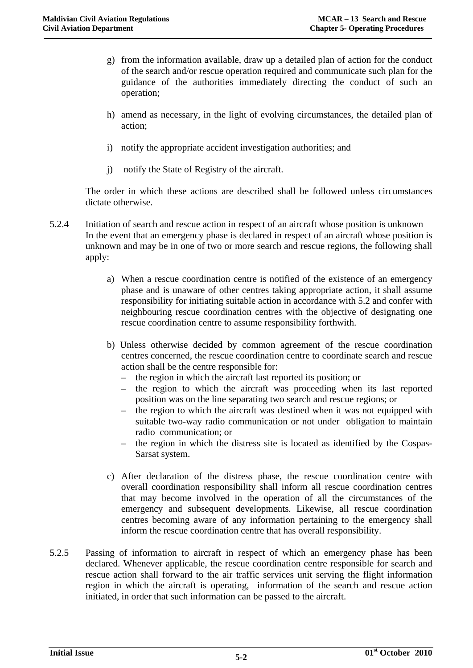- g) from the information available, draw up a detailed plan of action for the conduct of the search and/or rescue operation required and communicate such plan for the guidance of the authorities immediately directing the conduct of such an operation;
- h) amend as necessary, in the light of evolving circumstances, the detailed plan of action;
- i) notify the appropriate accident investigation authorities; and
- j) notify the State of Registry of the aircraft.

The order in which these actions are described shall be followed unless circumstances dictate otherwise.

- 5.2.4 Initiation of search and rescue action in respect of an aircraft whose position is unknown In the event that an emergency phase is declared in respect of an aircraft whose position is unknown and may be in one of two or more search and rescue regions, the following shall apply:
	- a) When a rescue coordination centre is notified of the existence of an emergency phase and is unaware of other centres taking appropriate action, it shall assume responsibility for initiating suitable action in accordance with 5.2 and confer with neighbouring rescue coordination centres with the objective of designating one rescue coordination centre to assume responsibility forthwith.
	- b) Unless otherwise decided by common agreement of the rescue coordination centres concerned, the rescue coordination centre to coordinate search and rescue action shall be the centre responsible for:
		- the region in which the aircraft last reported its position; or
		- the region to which the aircraft was proceeding when its last reported position was on the line separating two search and rescue regions; or
		- the region to which the aircraft was destined when it was not equipped with suitable two-way radio communication or not under obligation to maintain radio communication; or
		- the region in which the distress site is located as identified by the Cospas-Sarsat system.
	- c) After declaration of the distress phase, the rescue coordination centre with overall coordination responsibility shall inform all rescue coordination centres that may become involved in the operation of all the circumstances of the emergency and subsequent developments. Likewise, all rescue coordination centres becoming aware of any information pertaining to the emergency shall inform the rescue coordination centre that has overall responsibility.
- 5.2.5 Passing of information to aircraft in respect of which an emergency phase has been declared. Whenever applicable, the rescue coordination centre responsible for search and rescue action shall forward to the air traffic services unit serving the flight information region in which the aircraft is operating, information of the search and rescue action initiated, in order that such information can be passed to the aircraft.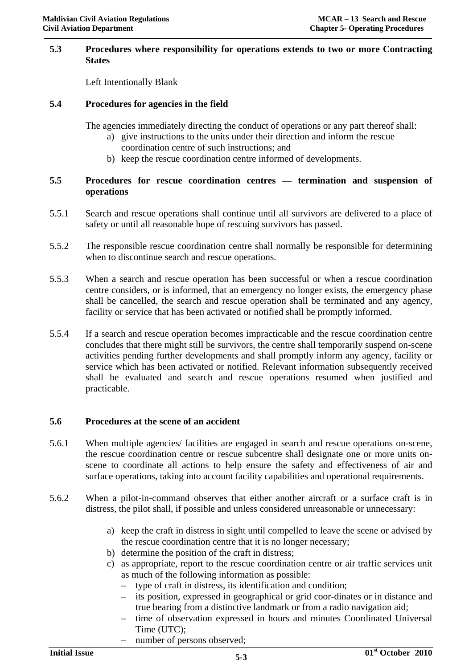### **5.3 Procedures where responsibility for operations extends to two or more Contracting States**

Left Intentionally Blank

### **5.4 Procedures for agencies in the field**

The agencies immediately directing the conduct of operations or any part thereof shall:

- a) give instructions to the units under their direction and inform the rescue coordination centre of such instructions; and
- b) keep the rescue coordination centre informed of developments.

### **5.5 Procedures for rescue coordination centres — termination and suspension of operations**

- 5.5.1 Search and rescue operations shall continue until all survivors are delivered to a place of safety or until all reasonable hope of rescuing survivors has passed.
- 5.5.2 The responsible rescue coordination centre shall normally be responsible for determining when to discontinue search and rescue operations.
- 5.5.3 When a search and rescue operation has been successful or when a rescue coordination centre considers, or is informed, that an emergency no longer exists, the emergency phase shall be cancelled, the search and rescue operation shall be terminated and any agency, facility or service that has been activated or notified shall be promptly informed.
- 5.5.4 If a search and rescue operation becomes impracticable and the rescue coordination centre concludes that there might still be survivors, the centre shall temporarily suspend on-scene activities pending further developments and shall promptly inform any agency, facility or service which has been activated or notified. Relevant information subsequently received shall be evaluated and search and rescue operations resumed when justified and practicable.

### **5.6 Procedures at the scene of an accident**

- 5.6.1 When multiple agencies/ facilities are engaged in search and rescue operations on-scene, the rescue coordination centre or rescue subcentre shall designate one or more units onscene to coordinate all actions to help ensure the safety and effectiveness of air and surface operations, taking into account facility capabilities and operational requirements.
- 5.6.2 When a pilot-in-command observes that either another aircraft or a surface craft is in distress, the pilot shall, if possible and unless considered unreasonable or unnecessary:
	- a) keep the craft in distress in sight until compelled to leave the scene or advised by the rescue coordination centre that it is no longer necessary;
	- b) determine the position of the craft in distress;
	- c) as appropriate, report to the rescue coordination centre or air traffic services unit as much of the following information as possible:
		- type of craft in distress, its identification and condition;
		- its position, expressed in geographical or grid coor-dinates or in distance and true bearing from a distinctive landmark or from a radio navigation aid;
		- time of observation expressed in hours and minutes Coordinated Universal Time (UTC);
			- number of persons observed;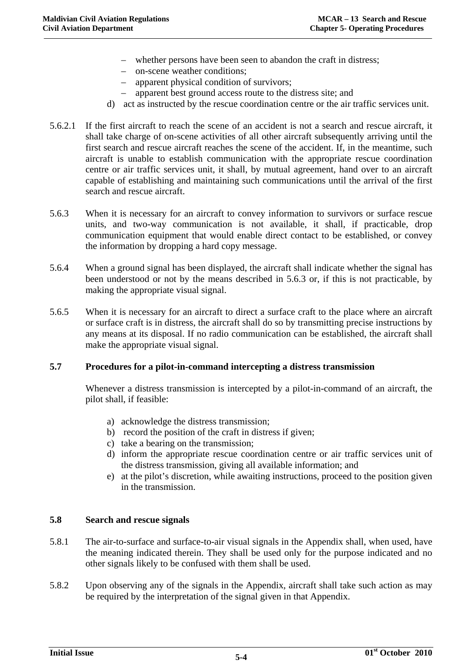- whether persons have been seen to abandon the craft in distress;
- on-scene weather conditions;
- apparent physical condition of survivors;
- apparent best ground access route to the distress site; and
- d) act as instructed by the rescue coordination centre or the air traffic services unit.
- 5.6.2.1 If the first aircraft to reach the scene of an accident is not a search and rescue aircraft, it shall take charge of on-scene activities of all other aircraft subsequently arriving until the first search and rescue aircraft reaches the scene of the accident. If, in the meantime, such aircraft is unable to establish communication with the appropriate rescue coordination centre or air traffic services unit, it shall, by mutual agreement, hand over to an aircraft capable of establishing and maintaining such communications until the arrival of the first search and rescue aircraft.
- 5.6.3 When it is necessary for an aircraft to convey information to survivors or surface rescue units, and two-way communication is not available, it shall, if practicable, drop communication equipment that would enable direct contact to be established, or convey the information by dropping a hard copy message.
- 5.6.4 When a ground signal has been displayed, the aircraft shall indicate whether the signal has been understood or not by the means described in 5.6.3 or, if this is not practicable, by making the appropriate visual signal.
- 5.6.5 When it is necessary for an aircraft to direct a surface craft to the place where an aircraft or surface craft is in distress, the aircraft shall do so by transmitting precise instructions by any means at its disposal. If no radio communication can be established, the aircraft shall make the appropriate visual signal.

### **5.7 Procedures for a pilot-in-command intercepting a distress transmission**

Whenever a distress transmission is intercepted by a pilot-in-command of an aircraft, the pilot shall, if feasible:

- a) acknowledge the distress transmission;
- b) record the position of the craft in distress if given;
- c) take a bearing on the transmission;
- d) inform the appropriate rescue coordination centre or air traffic services unit of the distress transmission, giving all available information; and
- e) at the pilot's discretion, while awaiting instructions, proceed to the position given in the transmission.

### **5.8 Search and rescue signals**

- 5.8.1 The air-to-surface and surface-to-air visual signals in the Appendix shall, when used, have the meaning indicated therein. They shall be used only for the purpose indicated and no other signals likely to be confused with them shall be used.
- 5.8.2 Upon observing any of the signals in the Appendix, aircraft shall take such action as may be required by the interpretation of the signal given in that Appendix.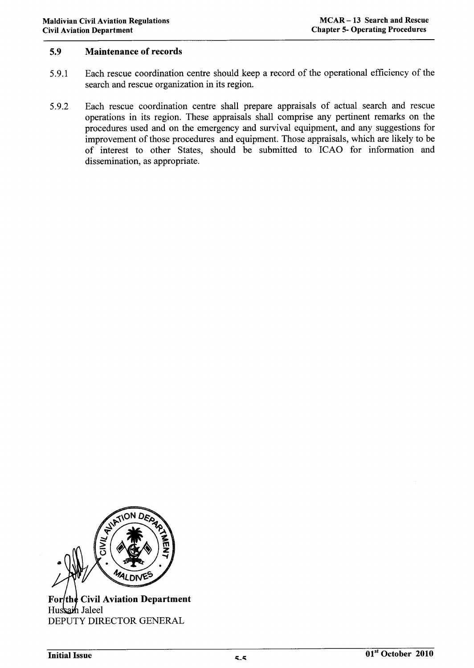#### 5.9 **Maintenance of records**

- Each rescue coordination centre should keep a record of the operational efficiency of the 5.9.1 search and rescue organization in its region.
- Each rescue coordination centre shall prepare appraisals of actual search and rescue 5.9.2 operations in its region. These appraisals shall comprise any pertinent remarks on the procedures used and on the emergency and survival equipment, and any suggestions for improvement of those procedures and equipment. Those appraisals, which are likely to be of interest to other States, should be submitted to ICAO for information and dissemination, as appropriate.



**For**the Civil Aviation Department Hussain Jaleel DEPUTY DIRECTOR GENERAL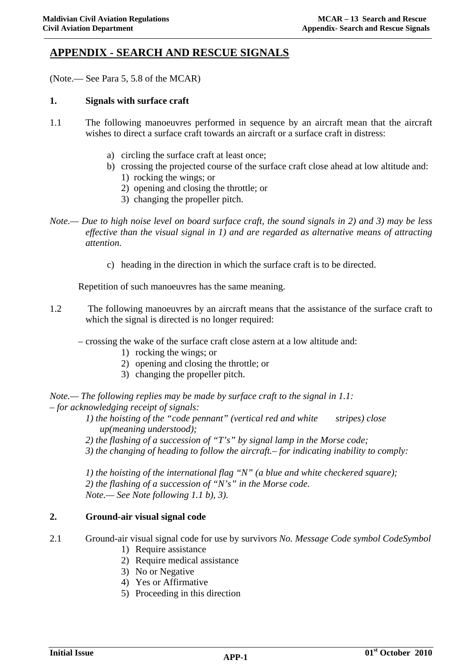### **APPENDIX - SEARCH AND RESCUE SIGNALS**

(Note.— See Para 5, 5.8 of the MCAR)

### **1. Signals with surface craft**

- 1.1 The following manoeuvres performed in sequence by an aircraft mean that the aircraft wishes to direct a surface craft towards an aircraft or a surface craft in distress:
	- a) circling the surface craft at least once;
	- b) crossing the projected course of the surface craft close ahead at low altitude and:
		- 1) rocking the wings; or
		- 2) opening and closing the throttle; or
		- 3) changing the propeller pitch.
- *Note.— Due to high noise level on board surface craft, the sound signals in 2) and 3) may be less effective than the visual signal in 1) and are regarded as alternative means of attracting attention.* 
	- c) heading in the direction in which the surface craft is to be directed.

Repetition of such manoeuvres has the same meaning.

- 1.2 The following manoeuvres by an aircraft means that the assistance of the surface craft to which the signal is directed is no longer required:
	- crossing the wake of the surface craft close astern at a low altitude and:
		- 1) rocking the wings; or
		- 2) opening and closing the throttle; or
		- 3) changing the propeller pitch.

*Note.— The following replies may be made by surface craft to the signal in 1.1:*  – *for acknowledging receipt of signals:* 

> *1)* the hoisting of the "code pennant" (vertical red and white stripes) close *up(meaning understood);*

*2) the flashing of a succession of "T's" by signal lamp in the Morse code; 3) the changing of heading to follow the aircraft.*– *for indicating inability to comply:* 

*1) the hoisting of the international flag "N" (a blue and white checkered square); 2) the flashing of a succession of "N's" in the Morse code. Note.— See Note following 1.1 b), 3).* 

### **2. Ground-air visual signal code**

- 2.1 Ground-air visual signal code for use by survivors *No. Message Code symbol CodeSymbol* 
	- 1) Require assistance
	- 2) Require medical assistance
	- 3) No or Negative
	- 4) Yes or Affirmative
	- 5) Proceeding in this direction